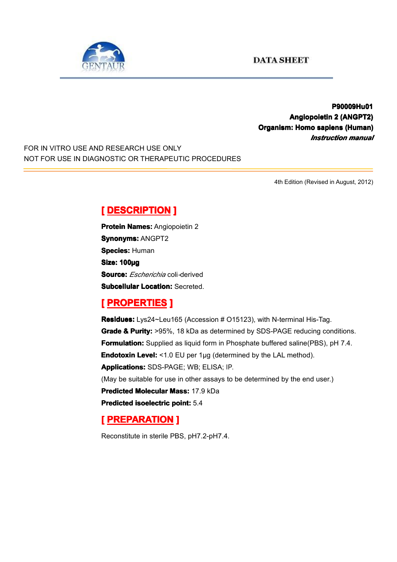

#### **P90009Hu01 P90009Hu01 Angiopoietin AngiopoietinAngiopoietinAngiopoietin2 (ANGPT2) (ANGPT2) Organism: Homo sapiens (Human) (Human)** *Instruction manual*

FOR IN VITRO USE AND RESEARCH USE ONLY NOT FOR USE IN DIAGNOSTIC OR THERAPEUTIC PROCEDURES

4th Edition (Revised in August, 2012)

# $[$  **DESCRIPTION** ]

**Protein Names: Angiopoietin 2 Synonyms: ANGPT2 Species: Human Size: 100µg Source:** *Escherichia* coli*-*derived **Subcellular Location: Secreted.** 

#### **[ PROPERTIES ROPERTIES ROPERTIES]**

**Residues:** Lys24~Leu165 (Accession # O15123), with N-terminal His-Tag. **Grade & Purity:** >95%, 18 kDa as determined by SDS-PAGE reducing conditions. **Formulation:** Supplied as liquid form in Phosphate buffered saline(PBS), pH 7.4. **Endotoxin Level:** <1.0 EU per 1µg (determined by the LAL method). **Applications: Applications:**SDS-PAGE; WB; ELISA; IP. (May be suitable for use in other assays to be determined by the end user.) **Predicted Molecular Mass:** 17.9 kDa **Predicted [isoelectric](app:ds:  isoelectric point) isoelectric point:** 5.4

## **[ PREPARATION PREPARATION PREPARATION]**

Reconstitute in sterile PBS, pH7.2-pH7.4.